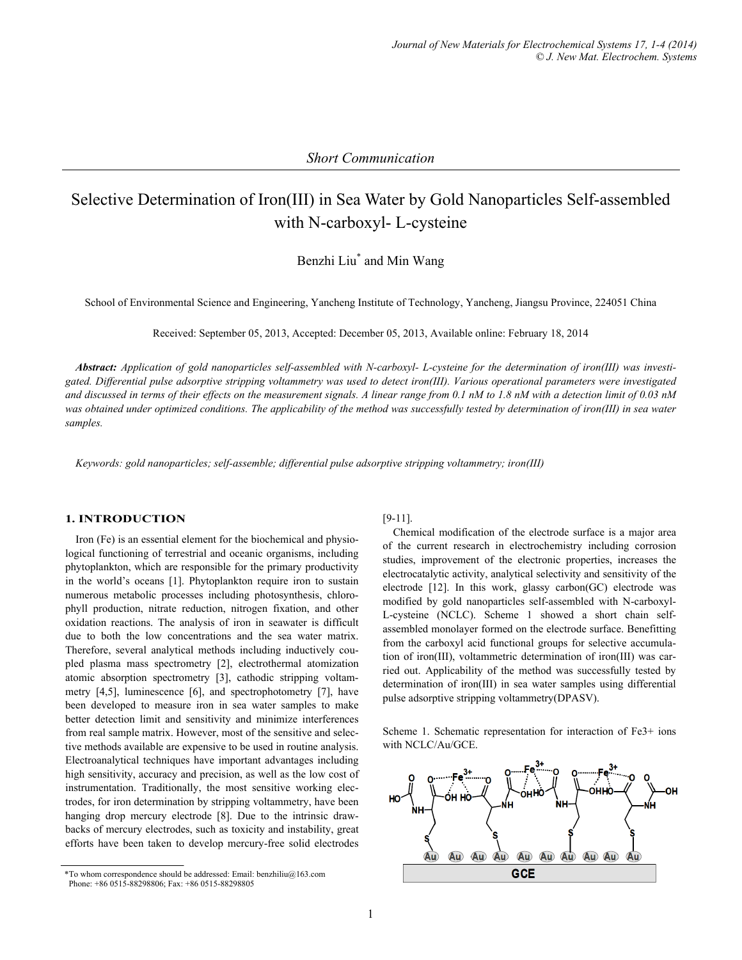# Selective Determination of Iron(III) in Sea Water by Gold Nanoparticles Self-assembled with N-carboxyl- L-cysteine

Benzhi Liu\* and Min Wang

School of Environmental Science and Engineering, Yancheng Institute of Technology, Yancheng, Jiangsu Province, 224051 China

Received: September 05, 2013, Accepted: December 05, 2013, Available online: February 18, 2014

*Abstract: Application of gold nanoparticles self-assembled with N-carboxyl- L-cysteine for the determination of iron(III) was investigated. Differential pulse adsorptive stripping voltammetry was used to detect iron(III). Various operational parameters were investigated and discussed in terms of their effects on the measurement signals. A linear range from 0.1 nM to 1.8 nM with a detection limit of 0.03 nM was obtained under optimized conditions. The applicability of the method was successfully tested by determination of iron(III) in sea water samples.* 

*Keywords: gold nanoparticles; self-assemble; differential pulse adsorptive stripping voltammetry; iron(III)* 

## **1. INTRODUCTION**

Iron (Fe) is an essential element for the biochemical and physiological functioning of terrestrial and oceanic organisms, including phytoplankton, which are responsible for the primary productivity in the world's oceans [1]. Phytoplankton require iron to sustain numerous metabolic processes including photosynthesis, chlorophyll production, nitrate reduction, nitrogen fixation, and other oxidation reactions. The analysis of iron in seawater is difficult due to both the low concentrations and the sea water matrix. Therefore, several analytical methods including inductively coupled plasma mass spectrometry [2], electrothermal atomization atomic absorption spectrometry [3], cathodic stripping voltammetry [4,5], luminescence [6], and spectrophotometry [7], have been developed to measure iron in sea water samples to make better detection limit and sensitivity and minimize interferences from real sample matrix. However, most of the sensitive and selective methods available are expensive to be used in routine analysis. Electroanalytical techniques have important advantages including high sensitivity, accuracy and precision, as well as the low cost of instrumentation. Traditionally, the most sensitive working electrodes, for iron determination by stripping voltammetry, have been hanging drop mercury electrode [8]. Due to the intrinsic drawbacks of mercury electrodes, such as toxicity and instability, great efforts have been taken to develop mercury-free solid electrodes

## [9-11].

Chemical modification of the electrode surface is a major area of the current research in electrochemistry including corrosion studies, improvement of the electronic properties, increases the electrocatalytic activity, analytical selectivity and sensitivity of the electrode  $[12]$ . In this work, glassy carbon(GC) electrode was modified by gold nanoparticles self-assembled with N-carboxyl-L-cysteine (NCLC). Scheme 1 showed a short chain selfassembled monolayer formed on the electrode surface. Benefitting from the carboxyl acid functional groups for selective accumulation of iron(III), voltammetric determination of iron(III) was carried out. Applicability of the method was successfully tested by determination of iron(III) in sea water samples using differential pulse adsorptive stripping voltammetry(DPASV).

Scheme 1. Schematic representation for interaction of Fe3+ ions with NCLC/Au/GCE.



<sup>\*</sup>To whom correspondence should be addressed: Email: benzhiliu@163.com Phone: +86 0515-88298806; Fax: +86 0515-88298805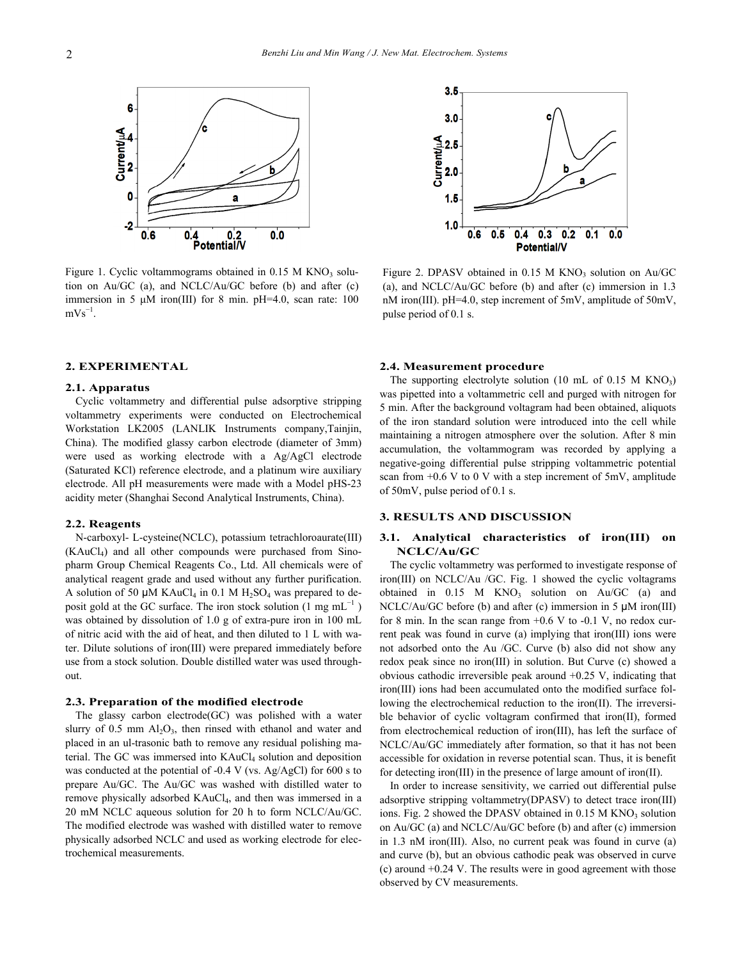

Figure 1. Cyclic voltammograms obtained in  $0.15$  M KNO<sub>3</sub> solution on Au/GC (a), and NCLC/Au/GC before (b) and after (c) immersion in 5 μM iron(III) for 8 min. pH=4.0, scan rate: 100  $mVs^{-1}$ .

## **2. EXPERIMENTAL**

#### **2.1. Apparatus**

Cyclic voltammetry and differential pulse adsorptive stripping voltammetry experiments were conducted on Electrochemical Workstation LK2005 (LANLIK Instruments company,Tainjin, China). The modified glassy carbon electrode (diameter of 3mm) were used as working electrode with a Ag/AgCl electrode (Saturated KCl) reference electrode, and a platinum wire auxiliary electrode. All pH measurements were made with a Model pHS-23 acidity meter (Shanghai Second Analytical Instruments, China).

#### **2.2. Reagents**

N-carboxyl- L-cysteine(NCLC), potassium tetrachloroaurate(III) (KAuCl4) and all other compounds were purchased from Sinopharm Group Chemical Reagents Co., Ltd. All chemicals were of analytical reagent grade and used without any further purification. A solution of 50  $\mu$ M KAuCl<sub>4</sub> in 0.1 M H<sub>2</sub>SO<sub>4</sub> was prepared to deposit gold at the GC surface. The iron stock solution  $(1 \text{ mg } \text{mL}^{-1})$ was obtained by dissolution of 1.0 g of extra-pure iron in 100 mL of nitric acid with the aid of heat, and then diluted to 1 L with water. Dilute solutions of iron(III) were prepared immediately before use from a stock solution. Double distilled water was used throughout.

## **2.3. Preparation of the modified electrode**

The glassy carbon electrode(GC) was polished with a water slurry of  $0.5$  mm  $Al_2O_3$ , then rinsed with ethanol and water and placed in an ul-trasonic bath to remove any residual polishing material. The GC was immersed into KAuCl<sub>4</sub> solution and deposition was conducted at the potential of -0.4 V (vs. Ag/AgCl) for 600 s to prepare Au/GC. The Au/GC was washed with distilled water to remove physically adsorbed KAuCl<sub>4</sub>, and then was immersed in a 20 mM NCLC aqueous solution for 20 h to form NCLC/Au/GC. The modified electrode was washed with distilled water to remove physically adsorbed NCLC and used as working electrode for electrochemical measurements.



Figure 2. DPASV obtained in  $0.15$  M KNO<sub>3</sub> solution on Au/GC (a), and NCLC/Au/GC before (b) and after (c) immersion in 1.3 nM iron(III). pH=4.0, step increment of 5mV, amplitude of 50mV, pulse period of 0.1 s.

## **2.4. Measurement procedure**

The supporting electrolyte solution (10 mL of 0.15 M  $KNO_3$ ) was pipetted into a voltammetric cell and purged with nitrogen for 5 min. After the background voltagram had been obtained, aliquots of the iron standard solution were introduced into the cell while maintaining a nitrogen atmosphere over the solution. After 8 min accumulation, the voltammogram was recorded by applying a negative-going differential pulse stripping voltammetric potential scan from  $+0.6$  V to 0 V with a step increment of 5mV, amplitude of 50mV, pulse period of 0.1 s.

#### **3. RESULTS AND DISCUSSION**

## **3.1. Analytical characteristics of iron(III) on NCLC/Au/GC**

The cyclic voltammetry was performed to investigate response of iron(III) on NCLC/Au /GC. Fig. 1 showed the cyclic voltagrams obtained in  $0.15$  M KNO<sub>3</sub> solution on Au/GC (a) and NCLC/Au/GC before (b) and after (c) immersion in 5 μM iron(III) for 8 min. In the scan range from  $+0.6$  V to  $-0.1$  V, no redox current peak was found in curve (a) implying that iron(III) ions were not adsorbed onto the Au /GC. Curve (b) also did not show any redox peak since no iron(III) in solution. But Curve (c) showed a obvious cathodic irreversible peak around +0.25 V, indicating that iron(III) ions had been accumulated onto the modified surface following the electrochemical reduction to the iron(II). The irreversible behavior of cyclic voltagram confirmed that iron(II), formed from electrochemical reduction of iron(III), has left the surface of NCLC/Au/GC immediately after formation, so that it has not been accessible for oxidation in reverse potential scan. Thus, it is benefit for detecting iron(III) in the presence of large amount of iron(II).

In order to increase sensitivity, we carried out differential pulse adsorptive stripping voltammetry(DPASV) to detect trace iron(III) ions. Fig. 2 showed the DPASV obtained in 0.15 M KNO<sub>3</sub> solution on Au/GC (a) and NCLC/Au/GC before (b) and after (c) immersion in 1.3 nM iron(III). Also, no current peak was found in curve (a) and curve (b), but an obvious cathodic peak was observed in curve (c) around +0.24 V. The results were in good agreement with those observed by CV measurements.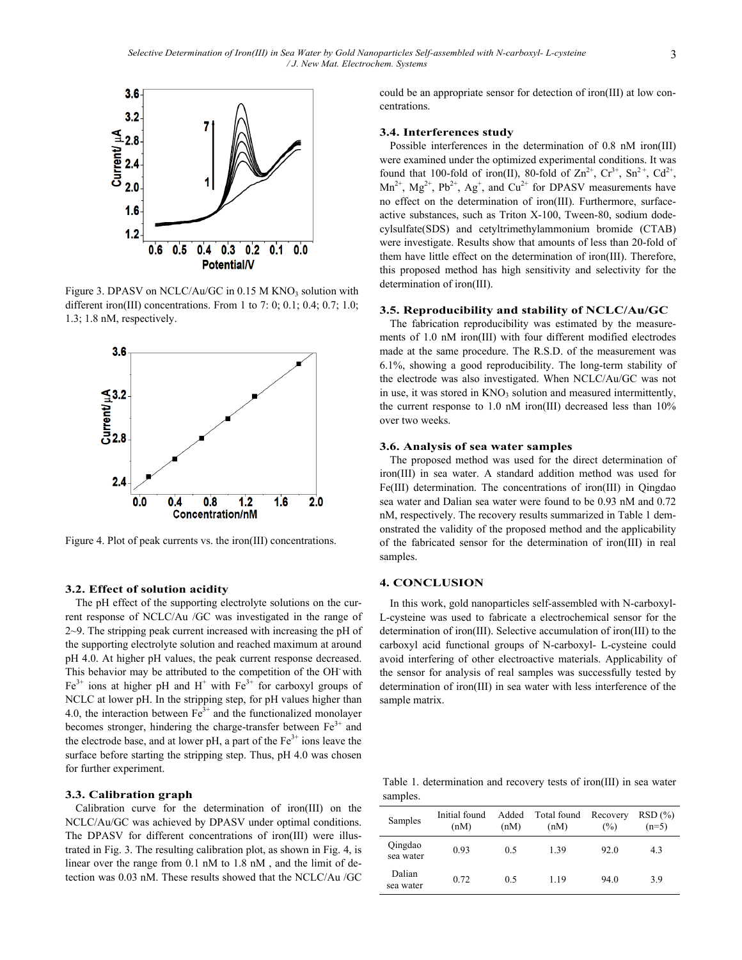

Figure 3. DPASV on NCLC/Au/GC in  $0.15$  M KNO<sub>3</sub> solution with different iron(III) concentrations. From 1 to 7: 0; 0.1; 0.4; 0.7; 1.0; 1.3; 1.8 nM, respectively.



Figure 4. Plot of peak currents vs. the iron(III) concentrations.

## **3.2. Effect of solution acidity**

The pH effect of the supporting electrolyte solutions on the current response of NCLC/Au /GC was investigated in the range of 2~9. The stripping peak current increased with increasing the pH of the supporting electrolyte solution and reached maximum at around pH 4.0. At higher pH values, the peak current response decreased. This behavior may be attributed to the competition of the OH- with  $Fe<sup>3+</sup>$  ions at higher pH and H<sup>+</sup> with  $Fe<sup>3+</sup>$  for carboxyl groups of NCLC at lower pH. In the stripping step, for pH values higher than 4.0, the interaction between  $Fe<sup>3+</sup>$  and the functionalized monolayer becomes stronger, hindering the charge-transfer between  $Fe<sup>3+</sup>$  and the electrode base, and at lower pH, a part of the  $Fe<sup>3+</sup>$  ions leave the surface before starting the stripping step. Thus, pH 4.0 was chosen for further experiment.

## **3.3. Calibration graph**

Calibration curve for the determination of iron(III) on the NCLC/Au/GC was achieved by DPASV under optimal conditions. The DPASV for different concentrations of iron(III) were illustrated in Fig. 3. The resulting calibration plot, as shown in Fig. 4, is linear over the range from 0.1 nM to 1.8 nM , and the limit of detection was 0.03 nM. These results showed that the NCLC/Au /GC could be an appropriate sensor for detection of iron(III) at low concentrations.

#### **3.4. Interferences study**

Possible interferences in the determination of 0.8 nM iron(III) were examined under the optimized experimental conditions. It was found that 100-fold of iron(II), 80-fold of  $\text{Zn}^{2+}$ ,  $\text{Cr}^{3+}$ ,  $\text{Sn}^{2+}$ ,  $\text{Cd}^{2+}$ ,  $Mn^{2+}$ ,  $Mg^{2+}$ ,  $Pb^{2+}$ ,  $Ag^{+}$ , and  $Cu^{2+}$  for DPASV measurements have no effect on the determination of iron(III). Furthermore, surfaceactive substances, such as Triton X-100, Tween-80, sodium dodecylsulfate(SDS) and cetyltrimethylammonium bromide (CTAB) were investigate. Results show that amounts of less than 20-fold of them have little effect on the determination of iron(III). Therefore, this proposed method has high sensitivity and selectivity for the determination of iron(III).

#### **3.5. Reproducibility and stability of NCLC/Au/GC**

The fabrication reproducibility was estimated by the measurements of 1.0 nM iron(III) with four different modified electrodes made at the same procedure. The R.S.D. of the measurement was 6.1%, showing a good reproducibility. The long-term stability of the electrode was also investigated. When NCLC/Au/GC was not in use, it was stored in KNO<sub>3</sub> solution and measured intermittently, the current response to 1.0 nM iron(III) decreased less than 10% over two weeks.

## **3.6. Analysis of sea water samples**

The proposed method was used for the direct determination of iron(III) in sea water. A standard addition method was used for Fe(III) determination. The concentrations of iron(III) in Qingdao sea water and Dalian sea water were found to be 0.93 nM and 0.72 nM, respectively. The recovery results summarized in Table 1 demonstrated the validity of the proposed method and the applicability of the fabricated sensor for the determination of iron(III) in real samples.

## **4. CONCLUSION**

In this work, gold nanoparticles self-assembled with N-carboxyl-L-cysteine was used to fabricate a electrochemical sensor for the determination of iron(III). Selective accumulation of iron(III) to the carboxyl acid functional groups of N-carboxyl- L-cysteine could avoid interfering of other electroactive materials. Applicability of the sensor for analysis of real samples was successfully tested by determination of iron(III) in sea water with less interference of the sample matrix.

Table 1. determination and recovery tests of iron(III) in sea water samples.

| Samples              | Initial found<br>(nM) | Added<br>(nM) | Total found<br>(nM) | Recovery<br>$\frac{6}{2}$ | RSD(%)<br>$(n=5)$ |
|----------------------|-----------------------|---------------|---------------------|---------------------------|-------------------|
| Qingdao<br>sea water | 0.93                  | 0.5           | 1.39                | 92.0                      | 4.3               |
| Dalian<br>sea water  | 0.72                  | 0.5           | 1.19                | 94.0                      | 3.9               |